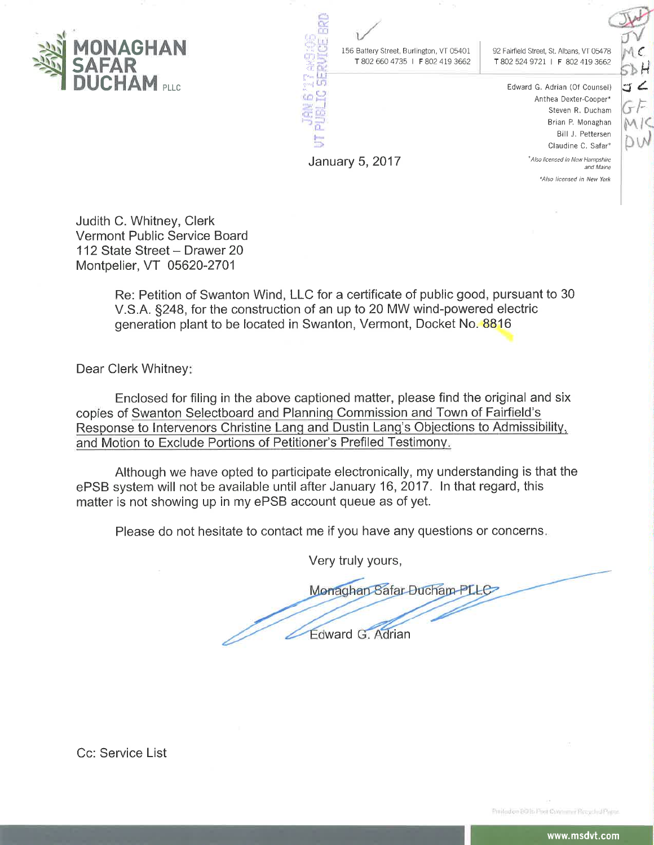

156 Battery Street, Burlington, VT 05401 T 802 660 4735 | F 802 419 3662 92 Fairfield Street, St. Albans, VT 05478 T 802 524 9721 | F 802 419 3662

> Edward G. Adrian (Of Counsel) Anthea Dexter-Cooper\* Steven R. Ducham Brian P. Monaghan Bill J. Pettersen Claudine C. Safar<sup>+</sup> \* Also licensed in New Hampshire and Maine

> > \*Also licensed in New York

⊳ Н  $5<sub>4</sub>$ 

Judith C. Whitney, Clerk Vermont Public Service Board 112 State Street - Drawer 20 Montpelier, VT 05620-2701

> Re: Petition of Swanton Wind, LLC for a certificate of public good, pursuant to 30 V.S.A. §248, for the construction of an up to 20 MW wind-powered electric generation plant to be located in Swanton, Vermont, Docket No. 8816

January 5, 2017

Dear Clerk Whitney!

Enclosed for filing in the above captioned matter, please find the original and six copies of Swanton Selectboard and Planning Commission and Town of Fairfield's Response to Intervenors Christine Lang and Dustin Lang's Objections to Admissibility, and Motion to Exclude Portions of Petitioner's Prefiled Testimony.

Although we have opted to participate electronically, my understanding is that the ePSB system will not be available until after January 16, 2017. In that regard, this matter is not showing up in my ePSB account queue as of yet.

Please do not hesitate to contact me if you have any questions or concerns.

Very truly yours,

Monaghan Safar Ducham PLLC Edward G. Adrian

Cc: Service List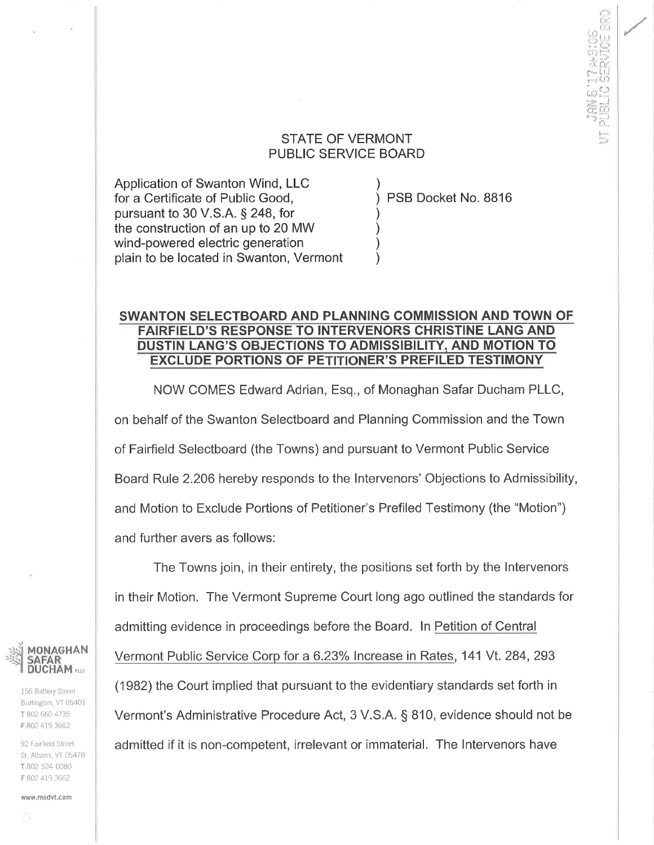## STATE OF VERMONT PUBLIC SERVICE BOARD

) ) ) ) ) )

Application of Swanton Wind, LLC for a Certificate of Public Good, pursuant to 30 V.S.A. \$ 248, for the construction of an up to 20 MW wind-powered electric generation plain to be located in Swanton, Vermont

PSB Docket No. BB16

tÍ:". rl.i'jj  $\mathfrak{g}_{\mathbb{N}}^{\mathbb{N}}$ ff)F"{ 'r\$r:l;jþ :36 de<br>r''' U  $_{\mathrm{max}}$  (1) ir:<br>Li-lat, li-li-li :en ti:: 1"<br>| l:1", 1"<br>| l:1", 1"

## SWANTON SELECTBOARD AND PLANNING COMMISSION AND TOWN OF FAIRFIELD'S RESPONSE TO INTERVENORS CHRISTINE LANG AND DUSTIN LANG'S OBJECTIONS TO ADMISSIBILITY, AND MOTION TO EXCLUDE PORTIONS OF PETITIONER'S PREFILED TESTIMONY

NOW COMES Edward Adrian, Esq., of Monaghan Safar Ducham PLLC, on behalf of the Swanton Selectboard and Planning Commission and the Town of Fairfield Selectboard (the Towns) and pursuant to Vermont Public Service Board Rule 2.206 hereby responds to the lntervenors' Objections to Admissibility, and Motion to Exclude Portions of Petitioner's Prefiled Testimony (the "Motion") and further avers as follows:

The Towns join, in their entirety, the positions set forth by the lntervenors in their Motion. The Vermont Supreme Court long ago outlined the standards for admitting evidence in proceedings before the Board. ln Petition qf Central Vermont Public Service Corp for a 6.23% Increase in Rates, 141 Vt. 284, 293 (1982) the Court implied that pursuant to the evidentiary standards set forth in Vermont's Administrative Procedure Act, 3 V.S.A. S 810, evidence should not be admitted if it is non-competent, irrelevant or immaterial. The lntervenors have



156 Battery Street Burlington, VT 05401 T 802 660 4735 F 802 419 3662

92 Fairfield Street St. Albans, VT 05478 T 802 524 0080 F 802 419 3662

www.msdvt.com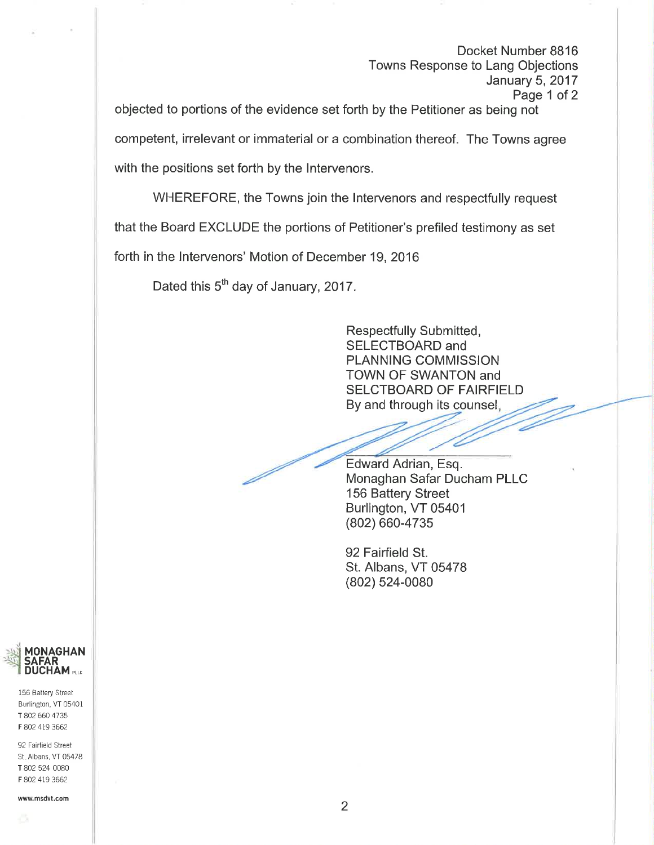Docket Number BB16 Towns Response to Lang Objections January 5,2017 Page 1 of 2

objected to portions of the evidence set forth by the Petitioner as being not competent, irrelevant or immaterial or a combination thereof. The Towns agree with the positions set forth by the lntervenors.

WHEREFORE, the Towns join the Intervenors and respectfully request that the Board EXCLUDE the portions of Petitioner's prefiled testimony as set

forth in the lntervenors' Motion of December 19,2016

Dated this 5<sup>th</sup> day of January, 2017.

By and throug h its counsel Respectfully Submitted, SELECTBOARD and PLANNING COMMISSION TOWN OF SWANTON and SELCTBOARD OF FAIRFIELD

Edward Adrian, Esq. Monaghan Safar Ducham PLLC 156 Battery Street Burlington, VT 05401 (802) 660-4735

92 Fairfield St. St. Albans, VT 05478 (802) 524-0080



156 Battery Street Burlington, VT 05401 T 802 660 4735 F 802 419 3662

92 Fairfield Street St. Albans, VT 05478 T 802 524 0080 F 802 419 3662

wwwmsdvt.com